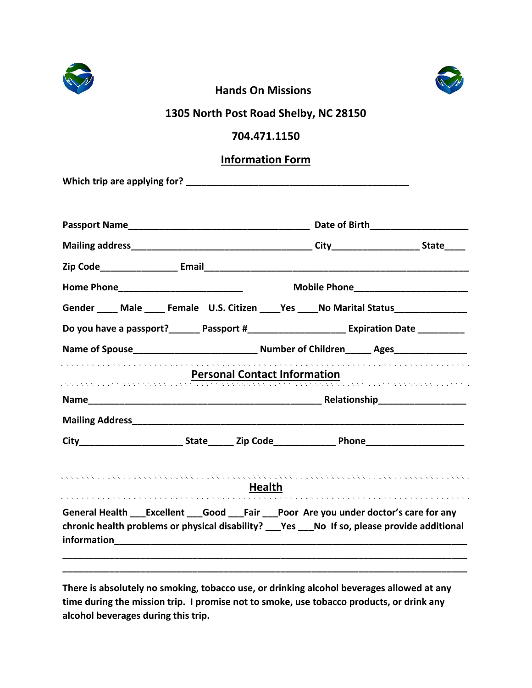



## **Hands On Missions**

## **1305 North Post Road Shelby, NC 28150**

## **704.471.1150**

## **Information Form**

**Which trip are applying for? \_\_\_\_\_\_\_\_\_\_\_\_\_\_\_\_\_\_\_\_\_\_\_\_\_\_\_\_\_\_\_\_\_\_\_\_\_\_\_\_\_\_\_**

| Gender ____ Male ____ Female U.S. Citizen ____ Yes ____ No Marital Status _____________                                                                                                                                                                                                                         |                                     |  |                                                                                                                                                       |  |
|-----------------------------------------------------------------------------------------------------------------------------------------------------------------------------------------------------------------------------------------------------------------------------------------------------------------|-------------------------------------|--|-------------------------------------------------------------------------------------------------------------------------------------------------------|--|
| Do you have a passport?_______ Passport #_________________________ Expiration Date __________                                                                                                                                                                                                                   |                                     |  |                                                                                                                                                       |  |
| Name of Spouse__________________________________ Number of Children______ Ages_____________________                                                                                                                                                                                                             |                                     |  |                                                                                                                                                       |  |
| . A concert a concert and a concert and a concert and a concert and a concert and a concert and a concert and                                                                                                                                                                                                   | <b>Personal Contact Information</b> |  | <b>Personal Contact Information</b><br>A Contact Contact Contact Contact Contact Contact Contact Contact Contact Contact Contact Contact Contact Cont |  |
|                                                                                                                                                                                                                                                                                                                 |                                     |  |                                                                                                                                                       |  |
|                                                                                                                                                                                                                                                                                                                 |                                     |  |                                                                                                                                                       |  |
|                                                                                                                                                                                                                                                                                                                 |                                     |  |                                                                                                                                                       |  |
| . A considerable and a considerable and a considerable and a considerable and a considerable and a considerabl<br>General Health ___ Excellent ___ Good ___ Fair ____ Poor Are you under doctor's care for any<br>chronic health problems or physical disability? ___Yes ___No If so, please provide additional | <b>Health</b>                       |  |                                                                                                                                                       |  |
|                                                                                                                                                                                                                                                                                                                 |                                     |  |                                                                                                                                                       |  |

**There is absolutely no smoking, tobacco use, or drinking alcohol beverages allowed at any time during the mission trip. I promise not to smoke, use tobacco products, or drink any alcohol beverages during this trip.**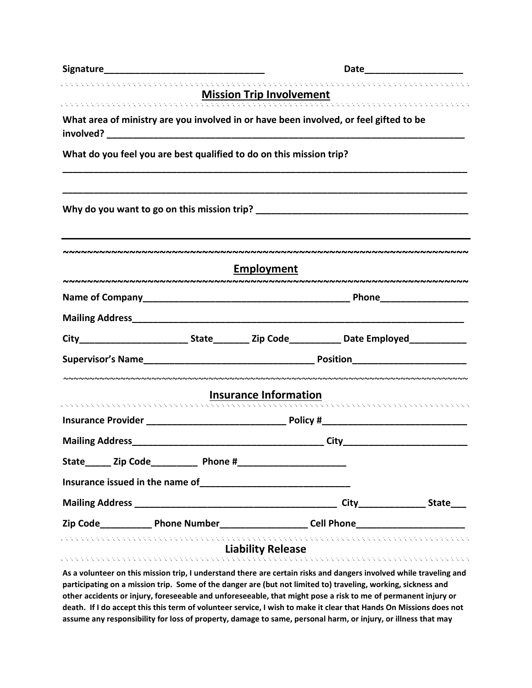| Signature                                                                                                                                                                                                                      | Date                            |                                                                                                                                                                                                                                    |                            |  |
|--------------------------------------------------------------------------------------------------------------------------------------------------------------------------------------------------------------------------------|---------------------------------|------------------------------------------------------------------------------------------------------------------------------------------------------------------------------------------------------------------------------------|----------------------------|--|
|                                                                                                                                                                                                                                | <b>Mission Trip Involvement</b> |                                                                                                                                                                                                                                    |                            |  |
| What area of ministry are you involved in or have been involved, or feel gifted to be                                                                                                                                          |                                 |                                                                                                                                                                                                                                    |                            |  |
| What do you feel you are best qualified to do on this mission trip?                                                                                                                                                            |                                 |                                                                                                                                                                                                                                    |                            |  |
|                                                                                                                                                                                                                                |                                 |                                                                                                                                                                                                                                    |                            |  |
|                                                                                                                                                                                                                                |                                 |                                                                                                                                                                                                                                    |                            |  |
|                                                                                                                                                                                                                                | <b>Employment</b>               |                                                                                                                                                                                                                                    |                            |  |
|                                                                                                                                                                                                                                |                                 | <b>Phone Contract Contract Contract Contract Contract Contract Contract Contract Contract Contract Contract Contract Contract Contract Contract Contract Contract Contract Contract Contract Contract Contract Contract Contra</b> |                            |  |
|                                                                                                                                                                                                                                |                                 |                                                                                                                                                                                                                                    |                            |  |
|                                                                                                                                                                                                                                |                                 |                                                                                                                                                                                                                                    |                            |  |
|                                                                                                                                                                                                                                |                                 |                                                                                                                                                                                                                                    |                            |  |
|                                                                                                                                                                                                                                | <b>Insurance Information</b>    |                                                                                                                                                                                                                                    |                            |  |
|                                                                                                                                                                                                                                |                                 |                                                                                                                                                                                                                                    |                            |  |
|                                                                                                                                                                                                                                |                                 |                                                                                                                                                                                                                                    |                            |  |
|                                                                                                                                                                                                                                |                                 |                                                                                                                                                                                                                                    | <b>City City City City</b> |  |
| State________ Zip Code________________ Phone #__________________________________                                                                                                                                               |                                 |                                                                                                                                                                                                                                    |                            |  |
|                                                                                                                                                                                                                                |                                 |                                                                                                                                                                                                                                    |                            |  |
|                                                                                                                                                                                                                                |                                 |                                                                                                                                                                                                                                    |                            |  |
|                                                                                                                                                                                                                                |                                 |                                                                                                                                                                                                                                    |                            |  |
| . Kabupatén Kabupatén Kabupatén Kabupatén Kabupatén Kabupatén Kabupatén Kabupatén Kabupatén Kabupatén Ka<br>As a volunteer on this mission trip, I understand there are certain risks and dangers involved while traveling and | <b>Liability Release</b>        |                                                                                                                                                                                                                                    |                            |  |

**participating on a mission trip. Some of the danger are (but not limited to) traveling, working, sickness and other accidents or injury, foreseeable and unforeseeable, that might pose a risk to me of permanent injury or death. If I do accept this this term of volunteer service, I wish to make it clear that Hands On Missions does not assume any responsibility for loss of property, damage to same, personal harm, or injury, or illness that may**